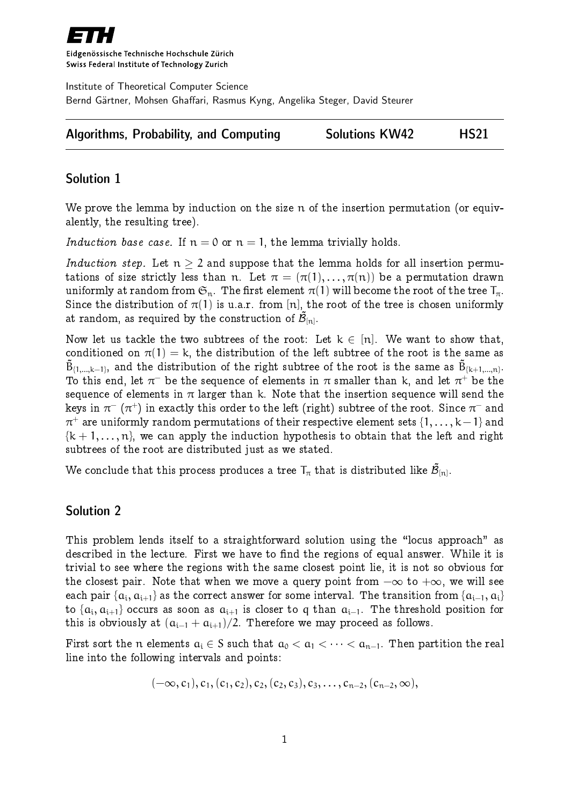

Eidgenössische Technische Hochschule Zürich Swiss Federal Institute of Technology Zurich

Institute of Theoretical Computer Science Bernd Gärtner, Mohsen Ghaffari, Rasmus Kyng, Angelika Steger, David Steurer

| <b>Algorithms, Probability, and Computing</b> | <b>Solutions KW42</b> | <b>HS21</b> |
|-----------------------------------------------|-----------------------|-------------|
|-----------------------------------------------|-----------------------|-------------|

## Solution 1

We prove the lemma by induction on the size n of the insertion permutation (or equivalently, the resulting tree).

Induction base case. If  $n = 0$  or  $n = 1$ , the lemma trivially holds.

Induction step. Let  $n > 2$  and suppose that the lemma holds for all insertion permutations of size strictly less than n. Let  $\pi = (\pi(1), \ldots, \pi(n))$  be a permutation drawn uniformly at random from  $\mathfrak{S}_n$ . The first element  $\pi(1)$  will become the root of the tree  $T_{\pi}$ . Since the distribution of  $\pi(1)$  is u.a.r. from [n], the root of the tree is chosen uniformly at random, as required by the construction of  $\mathcal{\tilde{B}}_{[n]}.$ 

Now let us tackle the two subtrees of the root: Let  $k \in [n]$ . We want to show that, conditioned on  $\pi(1) = k$ , the distribution of the left subtree of the root is the same as  $\tilde{{\sf B}}_{\{1,...,\mathsf{k}-1\}},$  and the distribution of the right subtree of the root is the same as  $\tilde{{\sf B}}_{\{\mathsf{k}+1,...,\mathsf{n}\}}.$ To this end, let  $\pi^-$  be the sequence of elements in  $\pi$  smaller than k, and let  $\pi^+$  be the sequence of elements in  $\pi$  larger than k. Note that the insertion sequence will send the keys in  $\pi^-\,(\pi^+)$  in exactly this order to the left (right) subtree of the root. Since  $\pi^-$  and  $\pi^+$  are uniformly random permutations of their respective element sets  $\{1,\ldots,k\!-\!1\}$  and  $\{k+1,\ldots,n\}$ , we can apply the induction hypothesis to obtain that the left and right subtrees of the root are distributed just as we stated.

We conclude that this process produces a tree  ${\sf T}_\pi$  that is distributed like  $\tilde{\cal B}_{[{\sf n}]}$ .

### Solution 2

This problem lends itself to a straightforward solution using the "locus approach" as described in the lecture. First we have to find the regions of equal answer. While it is trivial to see where the regions with the same closest point lie, it is not so obvious for the closest pair. Note that when we move a query point from  $-\infty$  to  $+\infty$ , we will see each pair  $\{ {\alpha _i},{\alpha _{i + 1}}\}$  as the correct answer for some interval. The transition from  $\{ {\alpha _{i - 1}},{\alpha _i}\}$ to  $\{\alpha_i,\alpha_{i+1}\}$  occurs as soon as  $\alpha_{i+1}$  is closer to  $\mathsf q$  than  $\alpha_{i-1}.$  The threshold position for this is obviously at  $(a_{i-1} + a_{i+1})/2$ . Therefore we may proceed as follows.

First sort the n elements  $a_i \in S$  such that  $a_0 < a_1 < \cdots < a_{n-1}$ . Then partition the real line into the following intervals and points:

$$
(-\infty, c_1), c_1, (c_1, c_2), c_2, (c_2, c_3), c_3, \ldots, c_{n-2}, (c_{n-2}, \infty),
$$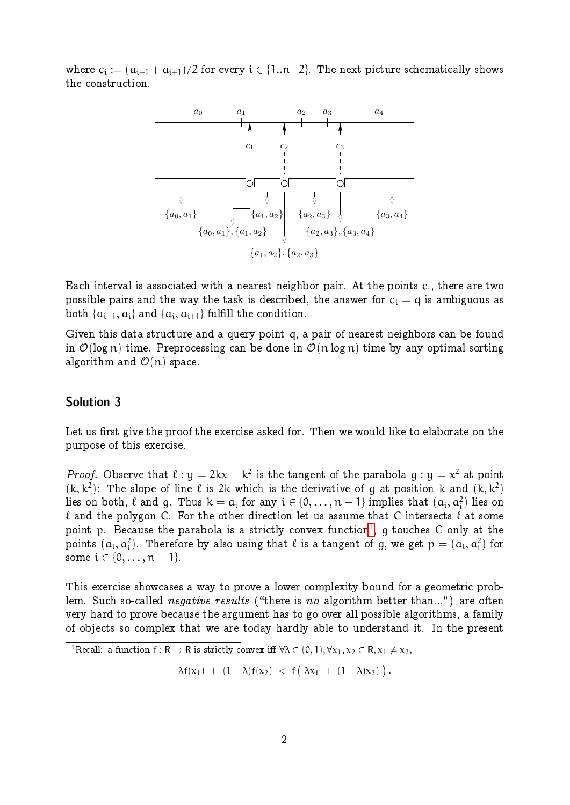where  $\mathsf{c}_\mathfrak{i}\coloneqq (\mathfrak{a}_{\mathfrak{i}-1}+\mathfrak{a}_{\mathfrak{i}+1})/2$  for every  $\mathfrak{i}\in \{1..n{-}2\}$ . The next picture schematically shows the construction.



Each interval is associated with a nearest neighbor pair. At the points  $\mathbf{c}_{\textit{i}},$  there are two possible pairs and the way the task is described, the answer for  $c_i = q$  is ambiguous as both  $\{\boldsymbol{\mathfrak{a}}_{\mathfrak{i}-1},\boldsymbol{\mathfrak{a}}_{\mathfrak{i}}\}$  and  $\{\boldsymbol{\mathfrak{a}}_{\mathfrak{i}},\boldsymbol{\mathfrak{a}}_{\mathfrak{i}+1}\}$  fulfill the condition.

Given this data structure and a query point q, a pair of nearest neighbors can be found in  $\mathcal{O}(\log n)$  time. Preprocessing can be done in  $\mathcal{O}(n \log n)$  time by any optimal sorting algorithm and  $\mathcal{O}(n)$  space.

#### Solution 3

Let us first give the proof the exercise asked for. Then we would like to elaborate on the purpose of this exercise.

*Proof.* Observe that  $\ell : y = 2kx - k^2$  is the tangent of the parabola  $g : y = x^2$  at point  $(k, k^2)$ : The slope of line  $\ell$  is 2k which is the derivative of g at position k and  $(k, k^2)$ lies on both,  $\ell$  and  $g$ . Thus  $\mathrm{k} = \mathrm{a_i}$  for any  $\mathrm{i} \in \{0, \ldots, \mathrm{n} - 1\}$  implies that  $(\mathrm{a_i}, \mathrm{a_i^2})$  lies on  $\ell$  and the polygon C. For the other direction let us assume that C intersects  $\ell$  at some point p. Because the parabola is a strictly convex function<sup>[1](#page-1-0)</sup>, g touches C only at the points  $(a_i, a_i^2)$ . Therefore by also using that  $\ell$  is a tangent of g, we get  $\mathsf{p} = (a_i, a_i^2)$  for some  $i \in \{0, ..., n - 1\}.$  $\Box$ 

This exercise showcases a way to prove a lower complexity bound for a geometric problem. Such so-called *negative results* ("there is no algorithm better than...") are often very hard to prove because the argument has to go over all possible algorithms, a family of objects so complex that we are today hardly able to understand it. In the present

 $\lambda f(x_1) + (1 - \lambda)f(x_2) < f(\lambda x_1 + (1 - \lambda)x_2)$ .

<span id="page-1-0"></span><sup>&</sup>lt;sup>1</sup>Recall: a function  $f: \mathbf{R} \to \mathbf{R}$  is strictly convex iff  $\forall \lambda \in (0, 1), \forall x_1, x_2 \in \mathbf{R}, x_1 \neq x_2$ ,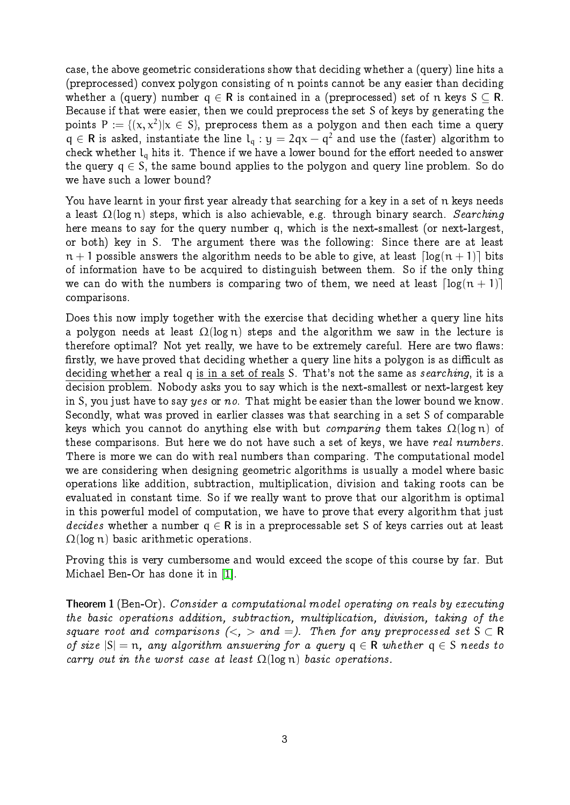case, the above geometric considerations show that deciding whether a (query) line hits a (preprocessed) convex polygon consisting of n points cannot be any easier than deciding whether a (query) number  $q \in \mathbb{R}$  is contained in a (preprocessed) set of n keys  $S \subset \mathbb{R}$ . Because if that were easier, then we could preprocess the set S of keys by generating the points  $\mathsf{P} \coloneqq \{(\mathsf{x},\mathsf{x}^2)|\mathsf{x}\,\in\,\mathsf{S}\}$ , preprocess them as a polygon and then each time a query  $q \in \mathbb{R}$  is asked, instantiate the line  $l_q : y = 2qx - q^2$  and use the (faster) algorithm to check whether  $l_q$  hits it. Thence if we have a lower bound for the effort needed to answer the query  $q \in S$ , the same bound applies to the polygon and query line problem. So do we have such a lower bound?

You have learnt in your first year already that searching for a key in a set of n keys needs a least  $\Omega(\log n)$  steps, which is also achievable, e.g. through binary search. Searching here means to say for the query number q, which is the next-smallest (or next-largest, or both) key in S. The argument there was the following: Since there are at least  $n + 1$  possible answers the algorithm needs to be able to give, at least  $\lceil \log(n + 1) \rceil$  bits of information have to be acquired to distinguish between them. So if the only thing we can do with the numbers is comparing two of them, we need at least  $\lceil \log(n + 1) \rceil$ comparisons.

Does this now imply together with the exercise that deciding whether a query line hits a polygon needs at least  $\Omega(\log n)$  steps and the algorithm we saw in the lecture is therefore optimal? Not yet really, we have to be extremely careful. Here are two flaws: firstly, we have proved that deciding whether a query line hits a polygon is as difficult as deciding whether a real q is in a set of reals S. That's not the same as *searching*, it is a decision problem. Nobody asks you to say which is the next-smallest or next-largest key in S, you just have to say yes or no. That might be easier than the lower bound we know. Secondly, what was proved in earlier classes was that searching in a set S of comparable keys which you cannot do anything else with but *comparing* them takes  $\Omega(\log n)$  of these comparisons. But here we do not have such a set of keys, we have real numbers. There is more we can do with real numbers than comparing. The computational model we are considering when designing geometric algorithms is usually a model where basic operations like addition, subtraction, multiplication, division and taking roots can be evaluated in constant time. So if we really want to prove that our algorithm is optimal in this powerful model of computation, we have to prove that every algorithm that just decides whether a number  $q \in \mathbb{R}$  is in a preprocessable set S of keys carries out at least  $\Omega(\log n)$  basic arithmetic operations.

Proving this is very cumbersome and would exceed the scope of this course by far. But Michael Ben-Or has done it in [\[1\]](#page-4-0).

Theorem 1 (Ben-Or). Consider a computational model operating on reals by executing the basic operations addition, subtraction, multiplication, division, taking of the square root and comparisons  $\langle \langle , \rangle$  and  $\langle = \rangle$ . Then for any preprocessed set  $S \subset \mathbb{R}$ of size  $|S| = n$ , any algorithm answering for a query  $q \in R$  whether  $q \in S$  needs to carry out in the worst case at least  $\Omega(\log n)$  basic operations.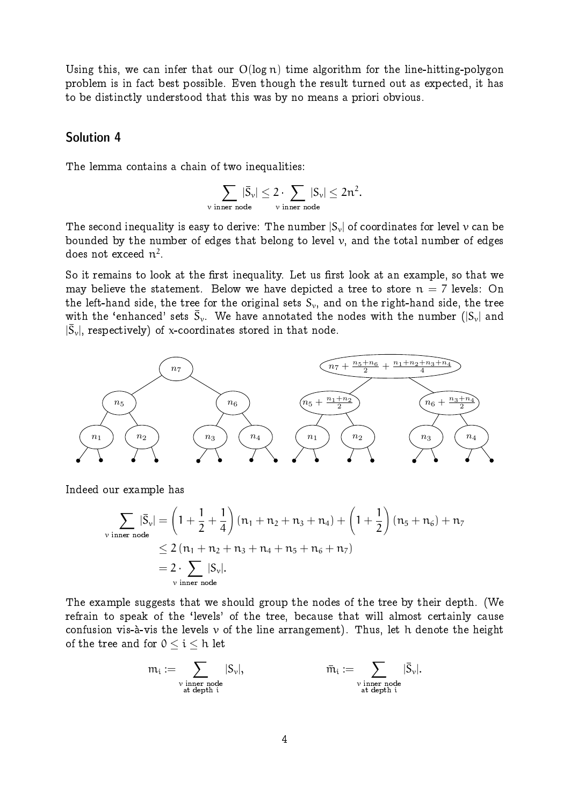Using this, we can infer that our  $O(\log n)$  time algorithm for the line-hitting-polygon problem is in fact best possible. Even though the result turned out as expected, it has to be distinctly understood that this was by no means a priori obvious.

#### Solution 4

The lemma contains a chain of two inequalities:

$$
\sum_{\text{$\nu$ inner node}} |\bar{S}_\nu| \leq 2 \cdot \sum_{\text{$\nu$ inner node}} |S_\nu| \leq 2n^2.
$$

The second inequality is easy to derive: The number  $|S_{\nu}|$  of coordinates for level  $\nu$  can be bounded by the number of edges that belong to level  $\nu$ , and the total number of edges does not exceed  $\mathfrak{n}^2.$ 

So it remains to look at the first inequality. Let us first look at an example, so that we may believe the statement. Below we have depicted a tree to store  $n = 7$  levels: On the left-hand side, the tree for the original sets  $S_{\nu}$ , and on the right-hand side, the tree with the 'enhanced' sets  $\bar{S}_\nu.$  We have annotated the nodes with the number  $(|S_\nu|$  and  $|\bar{S}_{\rm v}|,$  respectively) of x-coordinates stored in that node.



Indeed our example has

$$
\sum_{\text{v inner node}} |\bar{S}_{\nu}| = \left(1 + \frac{1}{2} + \frac{1}{4}\right) (n_1 + n_2 + n_3 + n_4) + \left(1 + \frac{1}{2}\right) (n_5 + n_6) + n_7
$$
  

$$
\leq 2 (n_1 + n_2 + n_3 + n_4 + n_5 + n_6 + n_7)
$$
  

$$
= 2 \cdot \sum_{\text{v inner node}} |S_{\nu}|.
$$

The example suggests that we should group the nodes of the tree by their depth. (We refrain to speak of the `levels' of the tree, because that will almost certainly cause confusion vis-à-vis the levels  $\nu$  of the line arrangement). Thus, let h denote the height of the tree and for  $0 \leq i \leq h$  let

$$
\mathfrak{m}_i := \sum_{\substack{\nu \text{ inner node}\\ \text{at depth } i}} |S_\nu|, \qquad \qquad \bar{\mathfrak{m}}_i := \sum_{\substack{\nu \text{ inner node}\\ \text{at depth } i}} |\bar{S}_\nu|.
$$